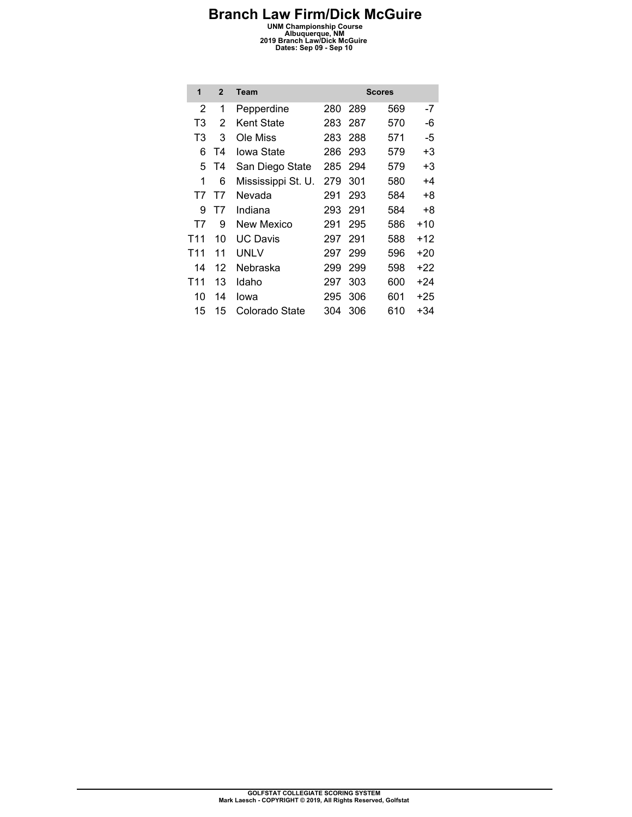**Branch Law Firm/Dick McGuire**<br>
UNM Championship Course<br>
2019 Branch Law/Dick McGuire<br>
Dates: Sep 09 - Sep 10<br>
Dates: Sep 09 - Sep 10

| 1   | $\overline{2}$    | Team               |     |     | <b>Scores</b> |       |
|-----|-------------------|--------------------|-----|-----|---------------|-------|
| 2   | 1                 | Pepperdine         | 280 | 289 | 569           | -7    |
| T3  | $\overline{2}$    | Kent State         | 283 | 287 | 570           | -6    |
| T3  | 3                 | Ole Miss           | 283 | 288 | 571           | -5    |
| 6   | T4                | Iowa State         | 286 | 293 | 579           | +3    |
| 5   | Τ4                | San Diego State    | 285 | 294 | 579           | +3    |
| 1   | 6                 | Mississippi St. U. | 279 | 301 | 580           | +4    |
| T7  | T7                | Nevada             | 291 | 293 | 584           | +8    |
| 9   | T7                | Indiana            | 293 | 291 | 584           | +8    |
| T7  | 9                 | New Mexico         | 291 | 295 | 586           | $+10$ |
| T11 | 10                | UC Davis           | 297 | 291 | 588           | $+12$ |
| T11 | 11                | UNLV               | 297 | 299 | 596           | $+20$ |
| 14  | $12 \overline{ }$ | Nebraska           | 299 | 299 | 598           | $+22$ |
| T11 | 13                | Idaho              | 297 | 303 | 600           | +24   |
| 10  | 14                | lowa               | 295 | 306 | 601           | $+25$ |
| 15  | 15                | Colorado State     | 304 | 306 | 610           | +34   |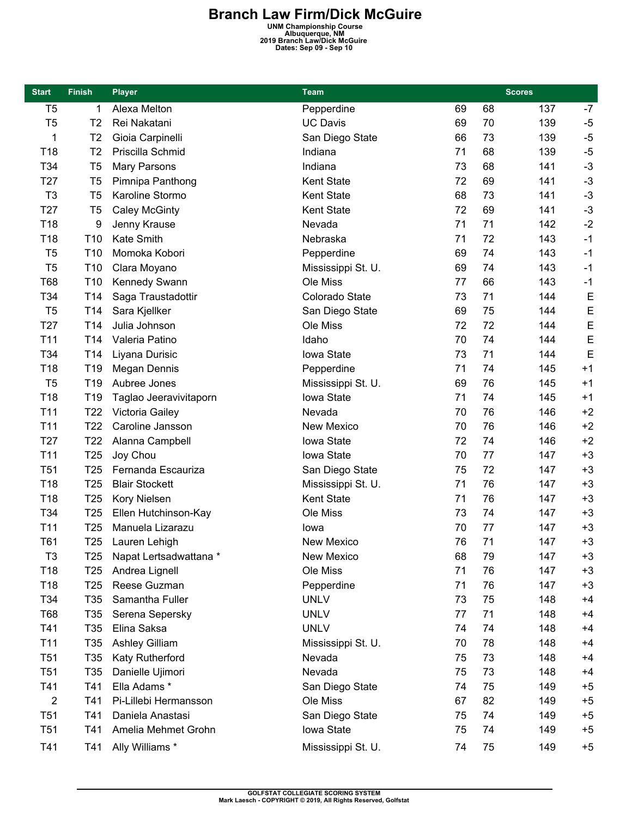**Branch Law Firm/Dick McGuire**<br>
UNM Championship Course<br>
2019 Branch Law/Dick McGuire<br>
Dates: Sep 09 - Sep 10<br>
Dates: Sep 09 - Sep 10

| <b>Start</b>    | <b>Finish</b>   | <b>Player</b>          | <b>Team</b>        |    |    | <b>Scores</b> |      |
|-----------------|-----------------|------------------------|--------------------|----|----|---------------|------|
| T <sub>5</sub>  | 1               | Alexa Melton           | Pepperdine         | 69 | 68 | 137           | $-7$ |
| T <sub>5</sub>  | T <sub>2</sub>  | Rei Nakatani           | <b>UC Davis</b>    | 69 | 70 | 139           | $-5$ |
| 1               | T2              | Gioia Carpinelli       | San Diego State    | 66 | 73 | 139           | $-5$ |
| T18             | T <sub>2</sub>  | Priscilla Schmid       | Indiana            | 71 | 68 | 139           | $-5$ |
| T34             | T <sub>5</sub>  | Mary Parsons           | Indiana            | 73 | 68 | 141           | $-3$ |
| T <sub>27</sub> | T <sub>5</sub>  | Pimnipa Panthong       | Kent State         | 72 | 69 | 141           | $-3$ |
| T <sub>3</sub>  | T <sub>5</sub>  | Karoline Stormo        | <b>Kent State</b>  | 68 | 73 | 141           | $-3$ |
| T <sub>27</sub> | T <sub>5</sub>  | <b>Caley McGinty</b>   | Kent State         | 72 | 69 | 141           | $-3$ |
| T18             | 9               | Jenny Krause           | Nevada             | 71 | 71 | 142           | $-2$ |
| T18             | T <sub>10</sub> | Kate Smith             | Nebraska           | 71 | 72 | 143           | $-1$ |
| T <sub>5</sub>  | T <sub>10</sub> | Momoka Kobori          | Pepperdine         | 69 | 74 | 143           | $-1$ |
| T <sub>5</sub>  | T <sub>10</sub> | Clara Moyano           | Mississippi St. U. | 69 | 74 | 143           | $-1$ |
| <b>T68</b>      | T10             | Kennedy Swann          | Ole Miss           | 77 | 66 | 143           | $-1$ |
| T34             | T14             | Saga Traustadottir     | Colorado State     | 73 | 71 | 144           | E    |
| T <sub>5</sub>  | T <sub>14</sub> | Sara Kjellker          | San Diego State    | 69 | 75 | 144           | E    |
| T <sub>27</sub> | T14             | Julia Johnson          | Ole Miss           | 72 | 72 | 144           | E    |
| T11             | T14             | Valeria Patino         | Idaho              | 70 | 74 | 144           | E    |
| T34             | T <sub>14</sub> | Liyana Durisic         | Iowa State         | 73 | 71 | 144           | E    |
| T18             | T19             | <b>Megan Dennis</b>    | Pepperdine         | 71 | 74 | 145           | $+1$ |
| T <sub>5</sub>  | T <sub>19</sub> | Aubree Jones           | Mississippi St. U. | 69 | 76 | 145           | $+1$ |
| T18             | T <sub>19</sub> | Taglao Jeeravivitaporn | Iowa State         | 71 | 74 | 145           | $+1$ |
| T <sub>11</sub> | T <sub>22</sub> | Victoria Gailey        | Nevada             | 70 | 76 | 146           | $+2$ |
| T11             | T <sub>22</sub> | Caroline Jansson       | New Mexico         | 70 | 76 | 146           | $+2$ |
| T <sub>27</sub> | T <sub>22</sub> | Alanna Campbell        | Iowa State         | 72 | 74 | 146           | $+2$ |
| T11             | T <sub>25</sub> | Joy Chou               | Iowa State         | 70 | 77 | 147           | $+3$ |
| T <sub>51</sub> | T <sub>25</sub> | Fernanda Escauriza     | San Diego State    | 75 | 72 | 147           | $+3$ |
| T18             | T <sub>25</sub> | <b>Blair Stockett</b>  | Mississippi St. U. | 71 | 76 | 147           | $+3$ |
| T18             | T <sub>25</sub> | Kory Nielsen           | <b>Kent State</b>  | 71 | 76 | 147           | $+3$ |
| T34             | T <sub>25</sub> | Ellen Hutchinson-Kay   | Ole Miss           | 73 | 74 | 147           | $+3$ |
| T11             | T <sub>25</sub> | Manuela Lizarazu       | lowa               | 70 | 77 | 147           | $+3$ |
| <b>T61</b>      | T <sub>25</sub> | Lauren Lehigh          | New Mexico         | 76 | 71 | 147           | $+3$ |
| T <sub>3</sub>  | T25             | Napat Lertsadwattana * | New Mexico         | 68 | 79 | 147           | $+3$ |
| T18             | T <sub>25</sub> | Andrea Lignell         | Ole Miss           | 71 | 76 | 147           | $+3$ |
| T18             | T <sub>25</sub> | Reese Guzman           | Pepperdine         | 71 | 76 | 147           | $+3$ |
| T34             | T <sub>35</sub> | Samantha Fuller        | <b>UNLV</b>        | 73 | 75 | 148           | $+4$ |
| <b>T68</b>      | T <sub>35</sub> | Serena Sepersky        | <b>UNLV</b>        | 77 | 71 | 148           | $+4$ |
| T41             | T <sub>35</sub> | Elina Saksa            | <b>UNLV</b>        | 74 | 74 | 148           | $+4$ |
| T11             | T <sub>35</sub> | <b>Ashley Gilliam</b>  | Mississippi St. U. | 70 | 78 | 148           | $+4$ |
| <b>T51</b>      | T <sub>35</sub> | Katy Rutherford        | Nevada             | 75 | 73 | 148           | $+4$ |
| T <sub>51</sub> | T <sub>35</sub> | Danielle Ujimori       | Nevada             | 75 | 73 | 148           | $+4$ |
| T41             | T41             | Ella Adams*            | San Diego State    | 74 | 75 | 149           | $+5$ |
| 2               | T41             | Pi-Lillebi Hermansson  | Ole Miss           | 67 | 82 | 149           | $+5$ |
| <b>T51</b>      | T41             | Daniela Anastasi       | San Diego State    | 75 | 74 | 149           | $+5$ |
| T <sub>51</sub> | T41             | Amelia Mehmet Grohn    | Iowa State         | 75 | 74 | 149           | $+5$ |
| T41             | T41             | Ally Williams *        |                    | 74 | 75 | 149           | $+5$ |
|                 |                 |                        | Mississippi St. U. |    |    |               |      |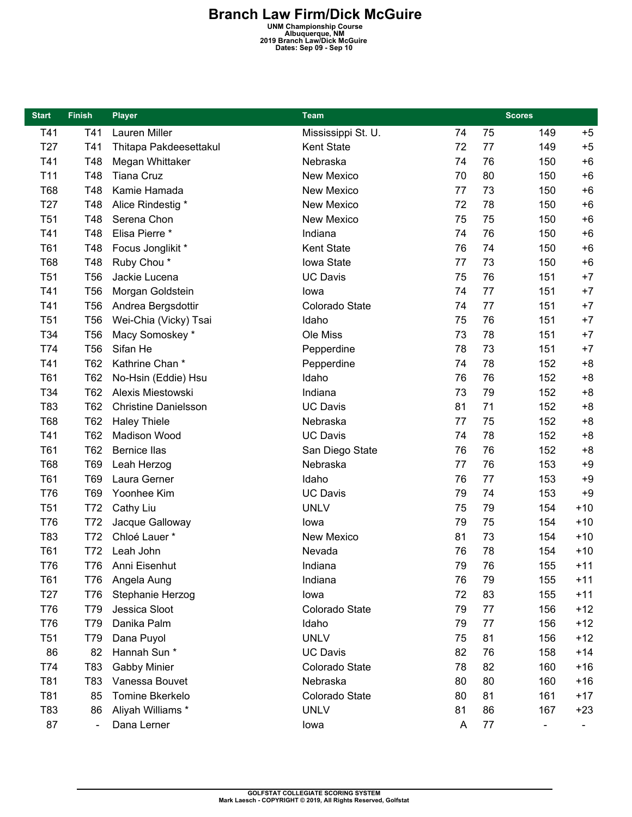**Branch Law Firm/Dick McGuire**<br>
UNM Championship Course<br>
2019 Branch Law/Dick McGuire<br>
Dates: Sep 09 - Sep 10<br>
Dates: Sep 09 - Sep 10

| <b>Start</b>    | <b>Finish</b>   | <b>Player</b>               | Team               |    | <b>Scores</b> |     |       |
|-----------------|-----------------|-----------------------------|--------------------|----|---------------|-----|-------|
| T41             | T41             | Lauren Miller               | Mississippi St. U. | 74 | 75            | 149 | $+5$  |
| T27             | T41             | Thitapa Pakdeesettakul      | Kent State         | 72 | 77            | 149 | $+5$  |
| T41             | T48             | Megan Whittaker             | Nebraska           | 74 | 76            | 150 | $+6$  |
| T11             | T48             | <b>Tiana Cruz</b>           | New Mexico         | 70 | 80            | 150 | $+6$  |
| <b>T68</b>      | T48             | Kamie Hamada                | New Mexico         | 77 | 73            | 150 | $+6$  |
| T <sub>27</sub> | T48             | Alice Rindestig *           | New Mexico         | 72 | 78            | 150 | $+6$  |
| T <sub>51</sub> | T48             | Serena Chon                 | New Mexico         | 75 | 75            | 150 | $+6$  |
| T41             | T48             | Elisa Pierre *              | Indiana            | 74 | 76            | 150 | $+6$  |
| T61             | T48             | Focus Jonglikit *           | Kent State         | 76 | 74            | 150 | $+6$  |
| T68             | T48             | Ruby Chou*                  | Iowa State         | 77 | 73            | 150 | $+6$  |
| T <sub>51</sub> | T <sub>56</sub> | Jackie Lucena               | <b>UC Davis</b>    | 75 | 76            | 151 | $+7$  |
| T41             | <b>T56</b>      | Morgan Goldstein            | lowa               | 74 | 77            | 151 | $+7$  |
| T41             | <b>T56</b>      | Andrea Bergsdottir          | Colorado State     | 74 | 77            | 151 | $+7$  |
| T <sub>51</sub> | <b>T56</b>      | Wei-Chia (Vicky) Tsai       | Idaho              | 75 | 76            | 151 | $+7$  |
| T34             | <b>T56</b>      | Macy Somoskey *             | Ole Miss           | 73 | 78            | 151 | $+7$  |
| T74             | <b>T56</b>      | Sifan He                    | Pepperdine         | 78 | 73            | 151 | $+7$  |
| T41             | <b>T62</b>      | Kathrine Chan*              | Pepperdine         | 74 | 78            | 152 | $+8$  |
| T61             | <b>T62</b>      | No-Hsin (Eddie) Hsu         | Idaho              | 76 | 76            | 152 | $+8$  |
| T34             | T62             | Alexis Miestowski           | Indiana            | 73 | 79            | 152 | $+8$  |
| T83             | <b>T62</b>      | <b>Christine Danielsson</b> | <b>UC Davis</b>    | 81 | 71            | 152 | $+8$  |
| T68             | <b>T62</b>      | <b>Haley Thiele</b>         | Nebraska           | 77 | 75            | 152 | $+8$  |
| T41             | T62             | Madison Wood                | <b>UC Davis</b>    | 74 | 78            | 152 | $+8$  |
| T61             | T62             | <b>Bernice llas</b>         | San Diego State    | 76 | 76            | 152 | $+8$  |
| T68             | T69             | Leah Herzog                 | Nebraska           | 77 | 76            | 153 | $+9$  |
| T61             | T69             | Laura Gerner                | Idaho              | 76 | 77            | 153 | $+9$  |
| <b>T76</b>      | T69             | Yoonhee Kim                 | <b>UC Davis</b>    | 79 | 74            | 153 | $+9$  |
| T <sub>51</sub> | T72             | Cathy Liu                   | <b>UNLV</b>        | 75 | 79            | 154 | $+10$ |
| T76             | T72             | Jacque Galloway             | lowa               | 79 | 75            | 154 | $+10$ |
| T83             | T72             | Chloé Lauer *               | New Mexico         | 81 | 73            | 154 | $+10$ |
| T61             | T72             | Leah John                   | Nevada             | 76 | 78            | 154 | $+10$ |
| T76             |                 | T76 Anni Eisenhut           | Indiana            | 79 | 76            | 155 | $+11$ |
| T61             | T76             | Angela Aung                 | Indiana            | 76 | 79            | 155 | $+11$ |
| T <sub>27</sub> | T76             | Stephanie Herzog            | lowa               | 72 | 83            | 155 | $+11$ |
| T76             | T79             | Jessica Sloot               | Colorado State     | 79 | 77            | 156 | $+12$ |
| <b>T76</b>      | T79             | Danika Palm                 | Idaho              | 79 | 77            | 156 | $+12$ |
| T <sub>51</sub> | T79             | Dana Puyol                  | <b>UNLV</b>        | 75 | 81            | 156 | $+12$ |
| 86              | 82              | Hannah Sun *                | <b>UC Davis</b>    | 82 | 76            | 158 | $+14$ |
| T74             | T83             | <b>Gabby Minier</b>         | Colorado State     | 78 | 82            | 160 | $+16$ |
| T81             | T83             | Vanessa Bouvet              | Nebraska           | 80 | 80            | 160 | $+16$ |
| T81             | 85              | Tomine Bkerkelo             | Colorado State     | 80 | 81            | 161 | $+17$ |
| T83             | 86              | Aliyah Williams *           | <b>UNLV</b>        | 81 | 86            | 167 | $+23$ |
| 87              |                 | Dana Lerner                 | lowa               | A  | 77            | -   |       |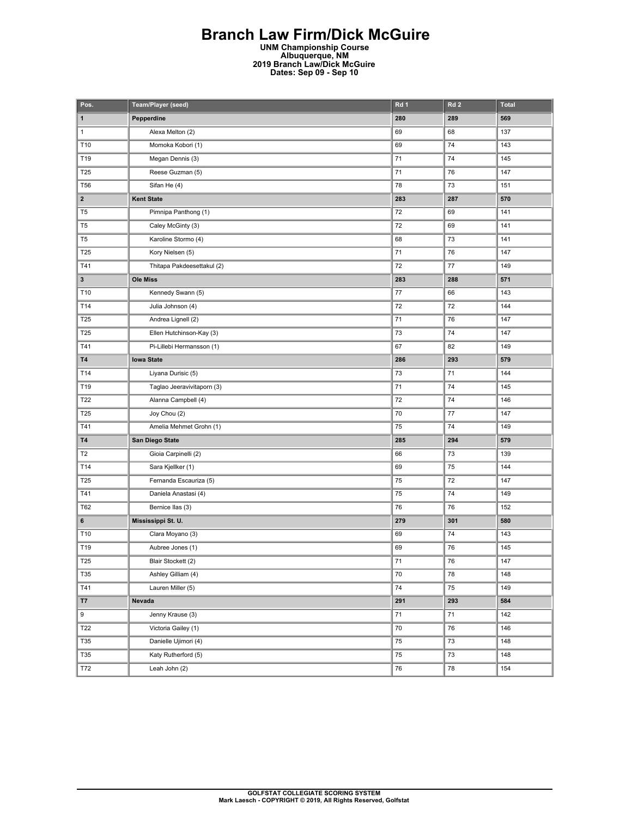# **Branch Law Firm/Dick McGuire**

**UNM Championship Course Albuquerque, NM 2019 Branch Law/Dick McGuire Dates: Sep 09 - Sep 10** 

| Pos.                    | Team/Player (seed)         | Rd 1   | Rd <sub>2</sub> | <b>Total</b> |
|-------------------------|----------------------------|--------|-----------------|--------------|
| 1                       | Pepperdine                 | 280    | 289             | 569          |
| $\mathbf{1}$            | Alexa Melton (2)           | 69     | 68              | 137          |
| T10                     | Momoka Kobori (1)          | 69     | 74              | 143          |
| T19                     | Megan Dennis (3)           | 71     | 74              | 145          |
| T25                     | Reese Guzman (5)           | 71     | 76              | 147          |
| <b>T56</b>              | Sifan He (4)               | 78     | 73              | 151          |
| $\overline{\mathbf{2}}$ | <b>Kent State</b>          | 283    | 287             | 570          |
| T <sub>5</sub>          | Pimnipa Panthong (1)       | 72     | 69              | 141          |
| T <sub>5</sub>          | Caley McGinty (3)          | 72     | 69              | 141          |
| T <sub>5</sub>          | Karoline Stormo (4)        | 68     | 73              | 141          |
| T25                     | Kory Nielsen (5)           | 71     | 76              | 147          |
| T41                     | Thitapa Pakdeesettakul (2) | 72     | 77              | 149          |
| 3                       | <b>Ole Miss</b>            | 283    | 288             | 571          |
| T10                     | Kennedy Swann (5)          | 77     | 66              | 143          |
| T14                     | Julia Johnson (4)          | 72     | 72              | 144          |
| T25                     | Andrea Lignell (2)         | 71     | 76              | 147          |
| T25                     | Ellen Hutchinson-Kay (3)   | 73     | 74              | 147          |
| T41                     | Pi-Lillebi Hermansson (1)  | 67     | 82              | 149          |
| T4                      | <b>Iowa State</b>          | 286    | 293             | 579          |
| T14                     | Liyana Durisic (5)         | 73     | 71              | 144          |
| T19                     | Taglao Jeeravivitaporn (3) | 71     | 74              | 145          |
| T22                     | Alanna Campbell (4)        | 72     | 74              | 146          |
| T25                     | Joy Chou (2)               | 70     | 77              | 147          |
| T41                     | Amelia Mehmet Grohn (1)    | 75     | 74              | 149          |
| T4                      | San Diego State            | 285    | 294             | 579          |
| T <sub>2</sub>          | Gioia Carpinelli (2)       | 66     | 73              | 139          |
| T14                     | Sara Kjellker (1)          | 69     | 75              | 144          |
| T25                     | Fernanda Escauriza (5)     | 75     | 72              | 147          |
| T41                     | Daniela Anastasi (4)       | 75     | 74              | 149          |
| T62                     | Bernice Ilas (3)           | 76     | 76              | 152          |
| 6                       | Mississippi St. U.         | 279    | 301             | 580          |
| T10                     | Clara Moyano (3)           | 69     | 74              | 143          |
| T19                     | Aubree Jones (1)           | 69     | 76              | 145          |
| <b>T25</b>              | Blair Stockett (2)         | 71     | 76              | 147          |
| T35                     | Ashley Gilliam (4)         | 70     | 78              | 148          |
| T41                     | Lauren Miller (5)          | 74     | 75              | 149          |
| <b>T7</b>               | Nevada                     | 291    | 293             | 584          |
| 9                       | Jenny Krause (3)           | $71\,$ | 71              | 142          |
| T22                     | Victoria Gailey (1)        | 70     | 76              | 146          |
| <b>T35</b>              | Danielle Ujimori (4)       | 75     | 73              | 148          |
| T35                     | Katy Rutherford (5)        | 75     | 73              | 148          |
| T72                     | Leah John (2)              | 76     | 78              | 154          |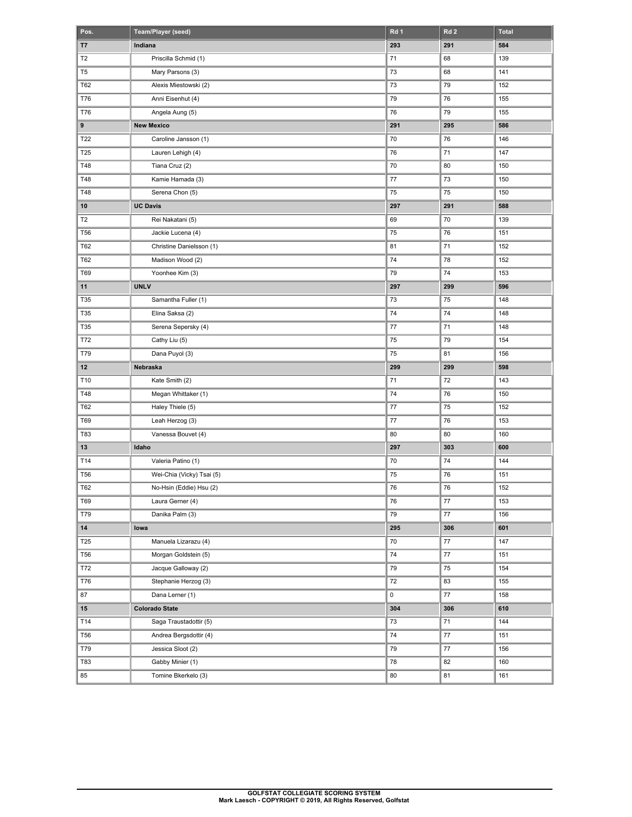| Pos.           | Team/Player (seed)        | Rd <sub>1</sub> | Rd <sub>2</sub> | <b>Total</b> |
|----------------|---------------------------|-----------------|-----------------|--------------|
| T7             | Indiana                   | 293             | 291             | 584          |
| T <sub>2</sub> | Priscilla Schmid (1)      | 71              | 68              | 139          |
| T <sub>5</sub> | Mary Parsons (3)          | 73              | 68              | 141          |
| T62            | Alexis Miestowski (2)     | 73              | 79              | 152          |
| T76            | Anni Eisenhut (4)         | 79              | 76              | 155          |
| <b>T76</b>     | Angela Aung (5)           | 76              | 79              | 155          |
| 9              | <b>New Mexico</b>         | 291             | 295             | 586          |
| T22            | Caroline Jansson (1)      | 70              | 76              | 146          |
| T25            | Lauren Lehigh (4)         | 76              | 71              | 147          |
| T48            | Tiana Cruz (2)            | 70              | 80              | 150          |
| T48            | Kamie Hamada (3)          | 77              | 73              | 150          |
| T48            | Serena Chon (5)           | 75              | 75              | 150          |
| 10             | <b>UC Davis</b>           | 297             | 291             | 588          |
| T <sub>2</sub> | Rei Nakatani (5)          | 69              | 70              | 139          |
| <b>T56</b>     | Jackie Lucena (4)         | 75              | 76              | 151          |
| T62            | Christine Danielsson (1)  | 81              | 71              | 152          |
| T62            | Madison Wood (2)          | 74              | 78              | 152          |
| <b>T69</b>     | Yoonhee Kim (3)           | 79              | 74              | 153          |
| 11             | <b>UNLV</b>               | 297             | 299             | 596          |
| T35            | Samantha Fuller (1)       | 73              | 75              | 148          |
| T35            | Elina Saksa (2)           | 74              | 74              | 148          |
| T35            | Serena Sepersky (4)       | 77              | 71              | 148          |
| T72            | Cathy Liu (5)             | 75              | 79              | 154          |
| T79            | Dana Puyol (3)            | 75              | 81              | 156          |
| 12             | Nebraska                  | 299             | 299             | 598          |
| T10            | Kate Smith (2)            | 71              | 72              | 143          |
| T48            | Megan Whittaker (1)       | 74              | 76              | 150          |
| T62            | Haley Thiele (5)          | 77              | 75              | 152          |
| T69            | Leah Herzog (3)           | 77              | 76              | 153          |
| T83            | Vanessa Bouvet (4)        | 80              | 80              | 160          |
| 13             | Idaho                     | 297             | 303             | 600          |
| T14            | Valeria Patino (1)        | 70              | 74              | 144          |
| <b>T56</b>     | Wei-Chia (Vicky) Tsai (5) | 75              | 76              | 151          |
| T62            | No-Hsin (Eddie) Hsu (2)   | 76              | 76              | 152          |
| T69            | Laura Gerner (4)          | 76              | 77              | 153          |
| T79            | Danika Palm (3)           | 79              | 77              | 156          |
| ${\bf 14}$     | lowa                      | 295             | 306             | 601          |
| T25            | Manuela Lizarazu (4)      | 70              | $77\,$          | 147          |
| T56            | Morgan Goldstein (5)      | 74              | 77              | 151          |
| T72            | Jacque Galloway (2)       | 79              | 75              | 154          |
| T76            | Stephanie Herzog (3)      | 72              | 83              | 155          |
| 87             | Dana Lerner (1)           | 0               | 77              | 158          |
| $15\,$         | <b>Colorado State</b>     | 304             | 306             | 610          |
| T14            | Saga Traustadottir (5)    | 73              | $\bf 71$        | 144          |
| <b>T56</b>     | Andrea Bergsdottir (4)    | 74              | 77              | 151          |
| T79            | Jessica Sloot (2)         | 79              | 77              | 156          |
| T83            | Gabby Minier (1)          | 78              | 82              | 160          |
| 85             | Tomine Bkerkelo (3)       | 80              | 81              | 161          |